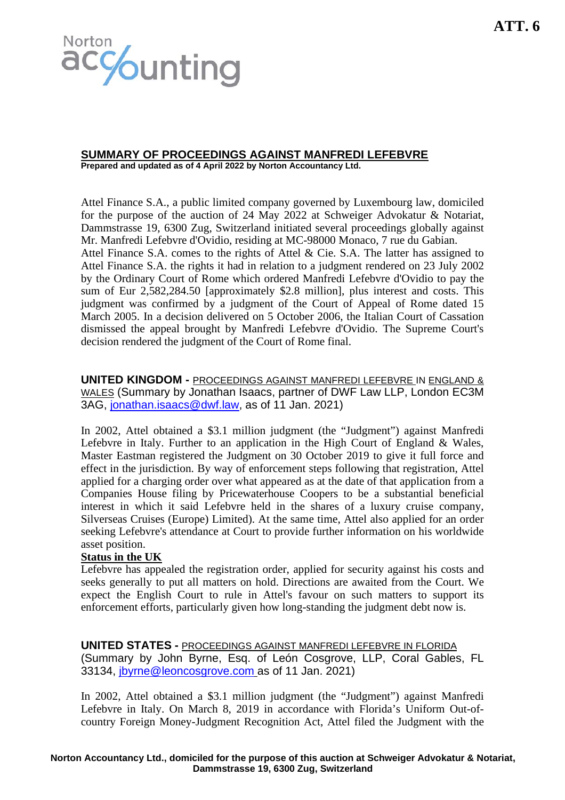

# **SUMMARY OF PROCEEDINGS AGAINST MANFREDI LEFEBVRE**

**Prepared and updated as of 4 April 2022 by Norton Accountancy Ltd.** 

Attel Finance S.A., a public limited company governed by Luxembourg law, domiciled for the purpose of the auction of 24 May 2022 at Schweiger Advokatur & Notariat, Dammstrasse 19, 6300 Zug, Switzerland initiated several proceedings globally against Mr. Manfredi Lefebvre d'Ovidio, residing at MC-98000 Monaco, 7 rue du Gabian.

Attel Finance S.A. comes to the rights of Attel & Cie. S.A. The latter has assigned to Attel Finance S.A. the rights it had in relation to a judgment rendered on 23 July 2002 by the Ordinary Court of Rome which ordered Manfredi Lefebvre d'Ovidio to pay the sum of Eur 2,582,284.50 [approximately \$2.8 million], plus interest and costs. This judgment was confirmed by a judgment of the Court of Appeal of Rome dated 15 March 2005. In a decision delivered on 5 October 2006, the Italian Court of Cassation dismissed the appeal brought by Manfredi Lefebvre d'Ovidio. The Supreme Court's decision rendered the judgment of the Court of Rome final.

**UNITED KINGDOM -** PROCEEDINGS AGAINST MANFREDI LEFEBVRE IN ENGLAND & WALES (Summary by Jonathan Isaacs, partner of DWF Law LLP, London EC3M 3AG, [jonathan.isaacs@dwf.law,](mailto:jonathan.isaacs@dwf.law) as of 11 Jan. 2021)

In 2002, Attel obtained a \$3.1 million judgment (the "Judgment") against Manfredi Lefebvre in Italy. Further to an application in the High Court of England & Wales, Master Eastman registered the Judgment on 30 October 2019 to give it full force and effect in the jurisdiction. By way of enforcement steps following that registration, Attel applied for a charging order over what appeared as at the date of that application from a Companies House filing by Pricewaterhouse Coopers to be a substantial beneficial interest in which it said Lefebvre held in the shares of a luxury cruise company, Silverseas Cruises (Europe) Limited). At the same time, Attel also applied for an order seeking Lefebvre's attendance at Court to provide further information on his worldwide asset position.

### **Status in the UK**

Lefebvre has appealed the registration order, applied for security against his costs and seeks generally to put all matters on hold. Directions are awaited from the Court. We expect the English Court to rule in Attel's favour on such matters to support its enforcement efforts, particularly given how long-standing the judgment debt now is.

**UNITED STATES -** PROCEEDINGS AGAINST MANFREDI LEFEBVRE IN FLORIDA (Summary by John Byrne, Esq. of León Cosgrove, LLP, Coral Gables, FL 33134, [jbyrne@leoncosgrove.com](mailto:jbyrne@leoncosgrove.com) as of 11 Jan. 2021)

In 2002, Attel obtained a \$3.1 million judgment (the "Judgment") against Manfredi Lefebvre in Italy. On March 8, 2019 in accordance with Florida's Uniform Out-ofcountry Foreign Money-Judgment Recognition Act, Attel filed the Judgment with the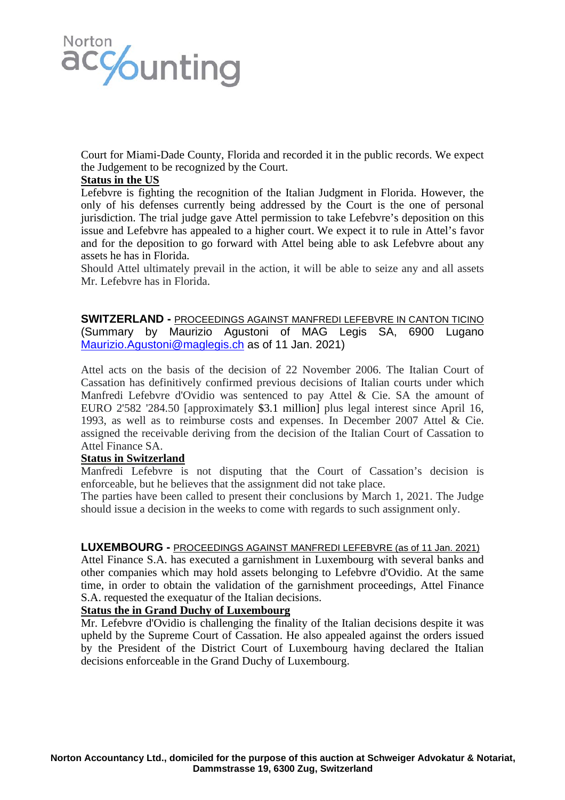

Court for Miami-Dade County, Florida and recorded it in the public records. We expect the Judgement to be recognized by the Court.

# **Status in the US**

Lefebvre is fighting the recognition of the Italian Judgment in Florida. However, the only of his defenses currently being addressed by the Court is the one of personal jurisdiction. The trial judge gave Attel permission to take Lefebvre's deposition on this issue and Lefebvre has appealed to a higher court. We expect it to rule in Attel's favor and for the deposition to go forward with Attel being able to ask Lefebvre about any assets he has in Florida.

Should Attel ultimately prevail in the action, it will be able to seize any and all assets Mr. Lefebvre has in Florida.

**SWITZERLAND -** PROCEEDINGS AGAINST MANFREDI LEFEBVRE IN CANTON TICINO (Summary by Maurizio Agustoni of MAG Legis SA, 6900 Lugano [Maurizio.Agustoni@maglegis.ch](mailto:Maurizio.Agustoni@maglegis.ch) as of 11 Jan. 2021)

Attel acts on the basis of the decision of 22 November 2006. The Italian Court of Cassation has definitively confirmed previous decisions of Italian courts under which Manfredi Lefebvre d'Ovidio was sentenced to pay Attel & Cie. SA the amount of EURO 2'582 '284.50 [approximately \$3.1 million] plus legal interest since April 16, 1993, as well as to reimburse costs and expenses. In December 2007 Attel & Cie. assigned the receivable deriving from the decision of the Italian Court of Cassation to Attel Finance SA.

### **Status in Switzerland**

Manfredi Lefebvre is not disputing that the Court of Cassation's decision is enforceable, but he believes that the assignment did not take place.

The parties have been called to present their conclusions by March 1, 2021. The Judge should issue a decision in the weeks to come with regards to such assignment only.

#### **LUXEMBOURG -** PROCEEDINGS AGAINST MANFREDI LEFEBVRE (as of 11 Jan. 2021)

Attel Finance S.A. has executed a garnishment in Luxembourg with several banks and other companies which may hold assets belonging to Lefebvre d'Ovidio. At the same time, in order to obtain the validation of the garnishment proceedings, Attel Finance S.A. requested the exequatur of the Italian decisions.

# **Status the in Grand Duchy of Luxembourg**

Mr. Lefebvre d'Ovidio is challenging the finality of the Italian decisions despite it was upheld by the Supreme Court of Cassation. He also appealed against the orders issued by the President of the District Court of Luxembourg having declared the Italian decisions enforceable in the Grand Duchy of Luxembourg.